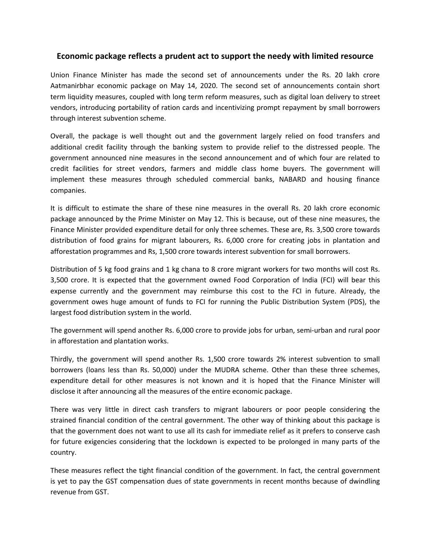# **Economic package reflects a prudent act to support the needy with limited resource**

Union Finance Minister has made the second set of announcements under the Rs. 20 lakh crore Aatmanirbhar economic package on May 14, 2020. The second set of announcements contain short term liquidity measures, coupled with long term reform measures, such as digital loan delivery to street vendors, introducing portability of ration cards and incentivizing prompt repayment by small borrowers through interest subvention scheme.

Overall, the package is well thought out and the government largely relied on food transfers and additional credit facility through the banking system to provide relief to the distressed people. The government announced nine measures in the second announcement and of which four are related to credit facilities for street vendors, farmers and middle class home buyers. The government will implement these measures through scheduled commercial banks, NABARD and housing finance companies.

It is difficult to estimate the share of these nine measures in the overall Rs.20 lakh crore economic package announced by the Prime Minister on May 12. This is because, out of these nine measures, the Finance Minister provided expenditure detail for only three schemes. These are, Rs. 3,500 crore towards distribution of food grains for migrant labourers, Rs. 6,000 crore for creating jobs in plantation and afforestation programmes and Rs, 1,500 crore towards interest subvention for small borrowers.

Distribution of 5 kg food grains and 1 kg chana to 8 crore migrant workers for two months will cost Rs. 3,500 crore. It is expected that the government owned Food Corporation of India (FCI) will bear this expense currently and the government may reimburse this cost to the FCI in future. Already, the government owes huge amount of funds to FCI for running the Public Distribution System (PDS), the largest food distribution system in the world.

The government will spend another Rs. 6,000 crore to provide jobs for urban, semi-urban and rural poor in afforestation and plantation works.

Thirdly, the government will spend another Rs.1,500 crore towards 2% interest subvention to small borrowers (loans less than Rs. 50,000) under the MUDRA scheme. Other than these three schemes, expenditure detail for other measures is not known and it is hoped that the Finance Minister will disclose it after announcing all the measures of the entire economic package.

There was very little in direct cash transfers to migrant labourers or poor people considering the strained financial condition of the central government. The other way of thinking about this package is that the government does not want to use all its cash for immediate relief as it prefers to conserve cash for future exigencies considering that the lockdown is expected to be prolonged in many parts of the country.

These measures reflect the tight financial condition of the government. In fact, the central government is yet to pay the GST compensation dues of state governments in recent months because of dwindling revenue from GST.